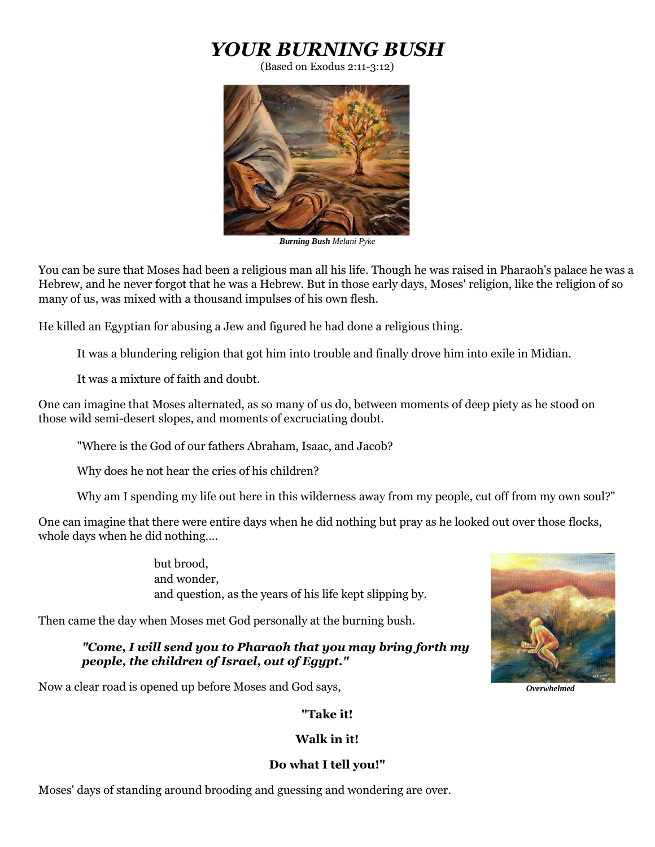

(Based on Exodus 2:11-3:12)



*Burning Bush Melani Pyke*

You can be sure that Moses had been a religious man all his life. Though he was raised in Pharaoh's palace he was a Hebrew, and he never forgot that he was a Hebrew. But in those early days, Moses' religion, like the religion of so many of us, was mixed with a thousand impulses of his own flesh.

He killed an Egyptian for abusing a Jew and figured he had done a religious thing.

It was a blundering religion that got him into trouble and finally drove him into exile in Midian.

It was a mixture of faith and doubt.

One can imagine that Moses alternated, as so many of us do, between moments of deep piety as he stood on those wild semi-desert slopes, and moments of excruciating doubt.

"Where is the God of our fathers Abraham, Isaac, and Jacob?

Why does he not hear the cries of his children?

Why am I spending my life out here in this wilderness away from my people, cut off from my own soul?"

One can imagine that there were entire days when he did nothing but pray as he looked out over those flocks, whole days when he did nothing….

> but brood, and wonder, and question, as the years of his life kept slipping by.

Then came the day when Moses met God personally at the burning bush.

## *"Come, I will send you to Pharaoh that you may bring forth my people, the children of Israel, out of Egypt."*

Now a clear road is opened up before Moses and God says,

**"Take it!** 

#### **Walk in it!**

#### **Do what I tell you!"**

Moses' days of standing around brooding and guessing and wondering are over.



*Overwhelmed*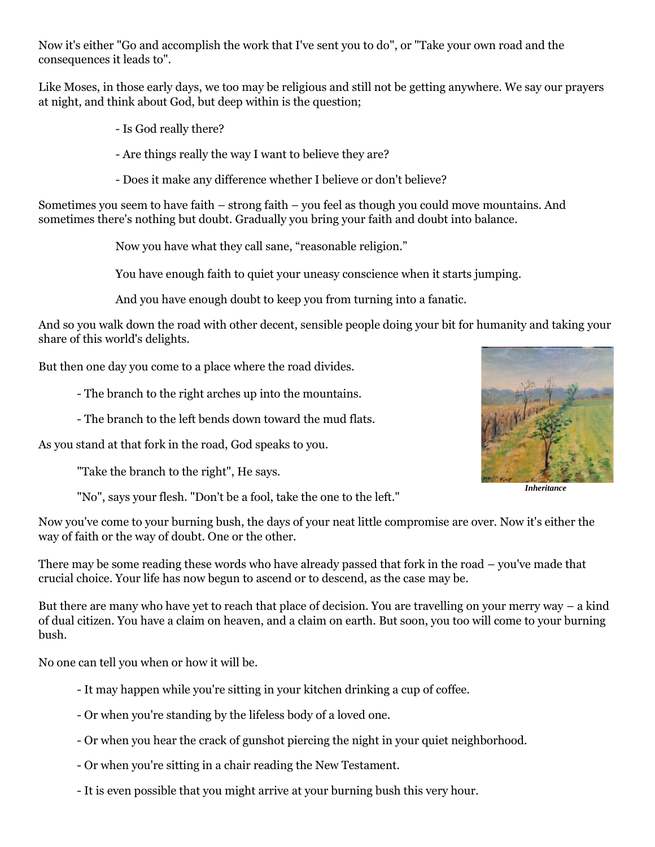Now it's either "Go and accomplish the work that I've sent you to do", or "Take your own road and the consequences it leads to".

Like Moses, in those early days, we too may be religious and still not be getting anywhere. We say our prayers at night, and think about God, but deep within is the question;

- Is God really there?
- Are things really the way I want to believe they are?
- Does it make any difference whether I believe or don't believe?

Sometimes you seem to have faith – strong faith – you feel as though you could move mountains. And sometimes there's nothing but doubt. Gradually you bring your faith and doubt into balance.

Now you have what they call sane, "reasonable religion."

You have enough faith to quiet your uneasy conscience when it starts jumping.

And you have enough doubt to keep you from turning into a fanatic.

And so you walk down the road with other decent, sensible people doing your bit for humanity and taking your share of this world's delights.

But then one day you come to a place where the road divides.

- The branch to the right arches up into the mountains.

- The branch to the left bends down toward the mud flats.

As you stand at that fork in the road, God speaks to you.

"Take the branch to the right", He says.

"No", says your flesh. "Don't be a fool, take the one to the left."

Now you've come to your burning bush, the days of your neat little compromise are over. Now it's either the way of faith or the way of doubt. One or the other.

There may be some reading these words who have already passed that fork in the road – you've made that crucial choice. Your life has now begun to ascend or to descend, as the case may be.

But there are many who have yet to reach that place of decision. You are travelling on your merry way – a kind of dual citizen. You have a claim on heaven, and a claim on earth. But soon, you too will come to your burning bush.

No one can tell you when or how it will be.

- It may happen while you're sitting in your kitchen drinking a cup of coffee.
- Or when you're standing by the lifeless body of a loved one.
- Or when you hear the crack of gunshot piercing the night in your quiet neighborhood.
- Or when you're sitting in a chair reading the New Testament.
- It is even possible that you might arrive at your burning bush this very hour.



*Inheritance*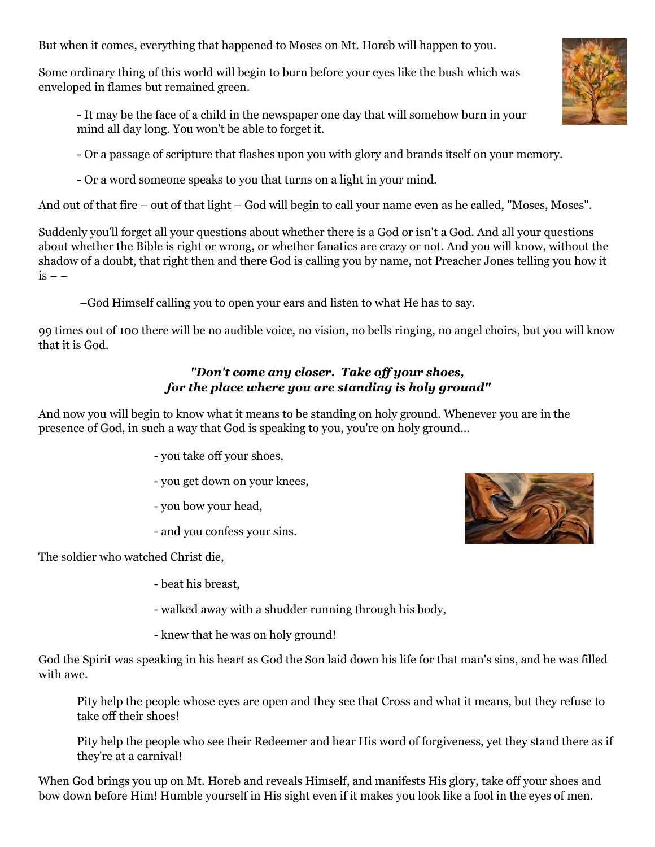But when it comes, everything that happened to Moses on Mt. Horeb will happen to you.

Some ordinary thing of this world will begin to burn before your eyes like the bush which was enveloped in flames but remained green.

- It may be the face of a child in the newspaper one day that will somehow burn in your mind all day long. You won't be able to forget it.

- Or a passage of scripture that flashes upon you with glory and brands itself on your memory.

- Or a word someone speaks to you that turns on a light in your mind.

And out of that fire – out of that light – God will begin to call your name even as he called, "Moses, Moses".

Suddenly you'll forget all your questions about whether there is a God or isn't a God. And all your questions about whether the Bible is right or wrong, or whether fanatics are crazy or not. And you will know, without the shadow of a doubt, that right then and there God is calling you by name, not Preacher Jones telling you how it  $is - -$ 

–God Himself calling you to open your ears and listen to what He has to say.

99 times out of 100 there will be no audible voice, no vision, no bells ringing, no angel choirs, but you will know that it is God.

# *"Don't come any closer. Take off your shoes, for the place where you are standing is holy ground"*

And now you will begin to know what it means to be standing on holy ground. Whenever you are in the presence of God, in such a way that God is speaking to you, you're on holy ground...

- you take off your shoes,
- you get down on your knees,
- you bow your head,
- and you confess your sins.

The soldier who watched Christ die,

- beat his breast,
- walked away with a shudder running through his body,
- knew that he was on holy ground!

God the Spirit was speaking in his heart as God the Son laid down his life for that man's sins, and he was filled with awe.

Pity help the people whose eyes are open and they see that Cross and what it means, but they refuse to take off their shoes!

Pity help the people who see their Redeemer and hear His word of forgiveness, yet they stand there as if they're at a carnival!

When God brings you up on Mt. Horeb and reveals Himself, and manifests His glory, take off your shoes and bow down before Him! Humble yourself in His sight even if it makes you look like a fool in the eyes of men.



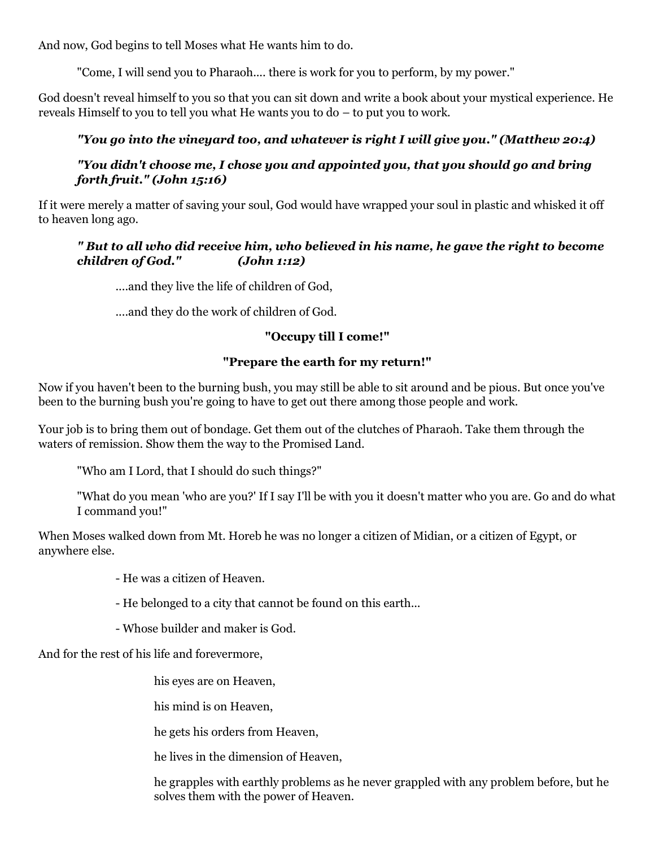And now, God begins to tell Moses what He wants him to do.

"Come, I will send you to Pharaoh.... there is work for you to perform, by my power."

God doesn't reveal himself to you so that you can sit down and write a book about your mystical experience. He reveals Himself to you to tell you what He wants you to do – to put you to work.

# *"You go into the vineyard too, and whatever is right I will give you." (Matthew 20:4)*

## *"You didn't choose me, I chose you and appointed you, that you should go and bring forth fruit." (John 15:16)*

If it were merely a matter of saving your soul, God would have wrapped your soul in plastic and whisked it off to heaven long ago.

### *" But to all who did receive him, who believed in his name, he gave the right to become children of God." (John 1:12)*

....and they live the life of children of God,

....and they do the work of children of God.

## **"Occupy till I come!"**

### **"Prepare the earth for my return!"**

Now if you haven't been to the burning bush, you may still be able to sit around and be pious. But once you've been to the burning bush you're going to have to get out there among those people and work.

Your job is to bring them out of bondage. Get them out of the clutches of Pharaoh. Take them through the waters of remission. Show them the way to the Promised Land.

"Who am I Lord, that I should do such things?"

"What do you mean 'who are you?' If I say I'll be with you it doesn't matter who you are. Go and do what I command you!"

When Moses walked down from Mt. Horeb he was no longer a citizen of Midian, or a citizen of Egypt, or anywhere else.

- He was a citizen of Heaven.

- He belonged to a city that cannot be found on this earth...
- Whose builder and maker is God.

And for the rest of his life and forevermore,

his eyes are on Heaven,

his mind is on Heaven,

he gets his orders from Heaven,

he lives in the dimension of Heaven,

he grapples with earthly problems as he never grappled with any problem before, but he solves them with the power of Heaven.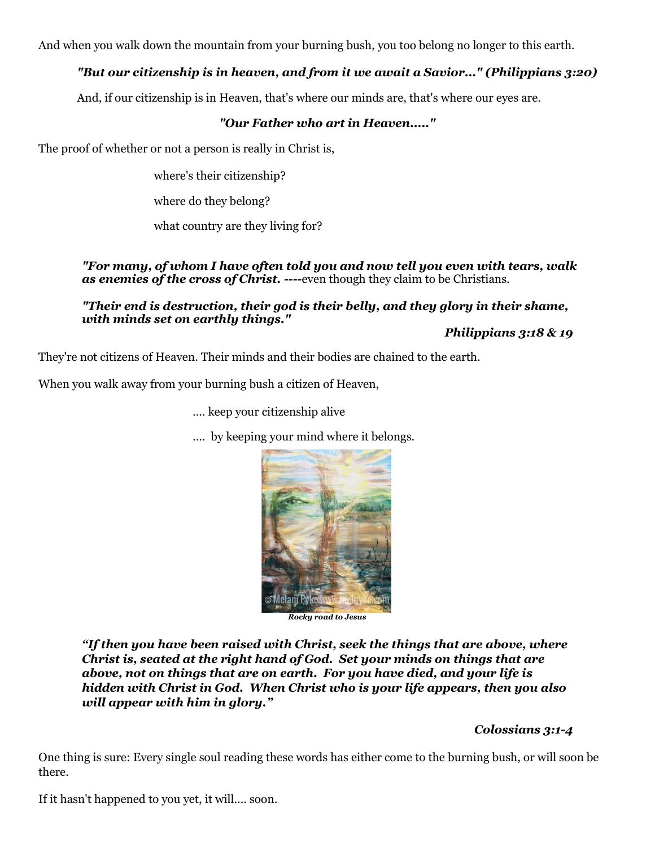And when you walk down the mountain from your burning bush, you too belong no longer to this earth.

## *"But our citizenship is in heaven, and from it we await a Savior..." (Philippians 3:20)*

And, if our citizenship is in Heaven, that's where our minds are, that's where our eyes are.

## *"Our Father who art in Heaven....."*

The proof of whether or not a person is really in Christ is,

where's their citizenship?

where do they belong?

what country are they living for?

#### *"For many, of whom I have often told you and now tell you even with tears, walk as enemies of the cross of Christ. ----*even though they claim to be Christians.

## *"Their end is destruction, their god is their belly, and they glory in their shame, with minds set on earthly things."*

*Philippians 3:18 & 19*

They're not citizens of Heaven. Their minds and their bodies are chained to the earth.

When you walk away from your burning bush a citizen of Heaven,

…. keep your citizenship alive

…. by keeping your mind where it belongs.



*Rocky road to Jesus*

*"If then you have been raised with Christ, seek the things that are above, where Christ is, seated at the right hand of God. Set your minds on things that are above, not on things that are on earth. For you have died, and your life is hidden with Christ in God. When Christ who is your life appears, then you also will appear with him in glory."*

## *Colossians 3:1-4*

One thing is sure: Every single soul reading these words has either come to the burning bush, or will soon be there.

If it hasn't happened to you yet, it will.... soon.